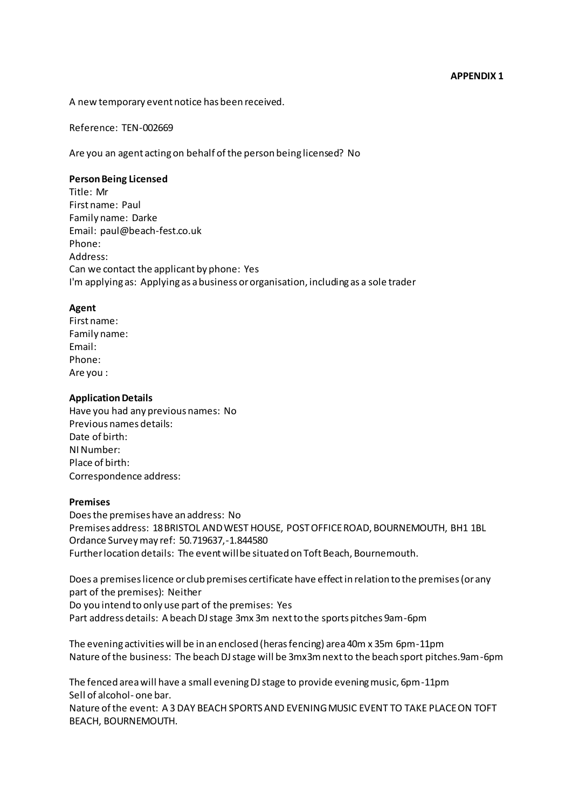A new temporary event notice has been received.

Reference:  TEN-002669 

Are you an agent acting on behalf of the person being licensed?  No 

### **Person Being Licensed**

Title:  Mr  First name: Paul Family name:  Darke  Email:  paul@beach-fest.co.uk  Phone:    Address: Can we contact the applicant by phone:  Yes  I'm applying as:  Applying as a business or organisation, including as a sole trader 

# **Agent**

First name:    Family name:    Email:    Phone:    Are you :   

# **Application Details**

Have you had any previous names:  No  Previous names details:    Date of birth:   NI Number:   Place of birth:   Correspondence address:

# **Premises**

Does the premises have an address:  No  Premises address:  18 BRISTOL AND WEST HOUSE, POST OFFICE ROAD, BOURNEMOUTH, BH1 1BL  Ordance Survey may ref:  50.719637,-1.844580  Further location details:  The event will be situated on Toft Beach, Bournemouth. 

Does a premises licence or club premises certificate have effect in relation to the premises (or any part of the premises):  Neither  Do you intend to only use part of the premises:  Yes  Part address details:  A beach DJ stage 3mx 3m next to the sports pitches 9am-6pm

The evening activities will be in an enclosed (heras fencing) area 40m x 35m 6pm-11pm  Nature of the business:  The beach DJ stage will be 3mx3m next to the beach sport pitches.9am-6pm

The fenced area will have a small evening DJ stage to provide evening music, 6pm-11pm Sell of alcohol- one bar. 

Nature of the event:  A 3 DAY BEACH SPORTS AND EVENING MUSIC EVENT TO TAKE PLACE ON TOFT BEACH, BOURNEMOUTH.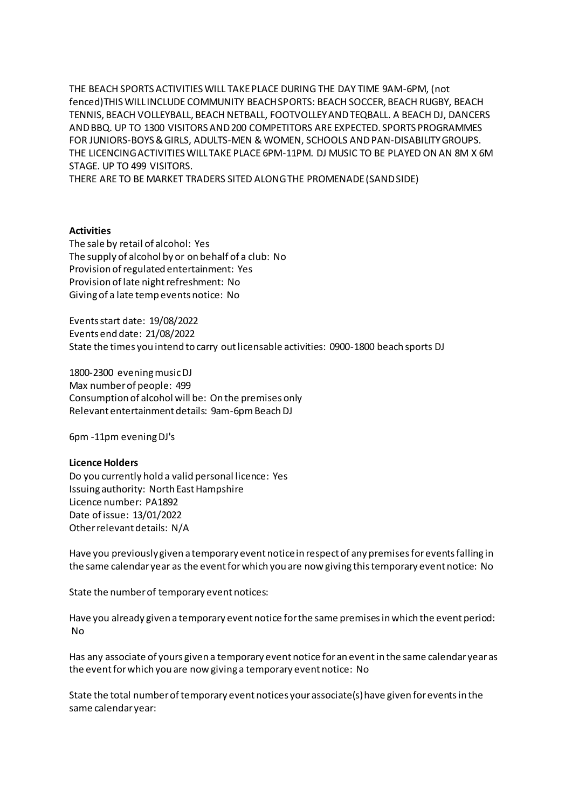THE BEACH SPORTS ACTIVITIES WILL TAKE PLACE DURING THE DAY TIME 9AM-6PM, (not fenced)THIS WILL INCLUDE COMMUNITY BEACH SPORTS: BEACH SOCCER, BEACH RUGBY, BEACH TENNIS, BEACH VOLLEYBALL, BEACH NETBALL, FOOTVOLLEY AND TEQBALL. A BEACH DJ, DANCERS AND BBQ. UP TO 1300 VISITORS AND 200 COMPETITORS ARE EXPECTED. SPORTS PROGRAMMES FOR JUNIORS-BOYS & GIRLS, ADULTS-MEN & WOMEN, SCHOOLS AND PAN-DISABILITY GROUPS. THE LICENCING ACTIVITIES WILL TAKE PLACE 6PM-11PM. DJ MUSIC TO BE PLAYED ON AN 8M X 6M STAGE. UP TO 499 VISITORS.

THERE ARE TO BE MARKET TRADERS SITED ALONG THE PROMENADE (SAND SIDE)

# **Activities**

The sale by retail of alcohol:  Yes  The supply of alcohol by or on behalf of a club:  No  Provision of regulated entertainment:  Yes  Provision of late night refreshment:  No  Giving of a late temp events notice:  No 

Events start date:  19/08/2022  Events end date:  21/08/2022  State the times you intend to carry out licensable activities:  0900-1800 beach sports DJ

1800-2300 evening music DJ  Max number of people:  499  Consumption of alcohol will be:  On the premises only  Relevant entertainment details:  9am-6pm Beach DJ

6pm -11pm evening DJ's 

### **Licence Holders**

Do you currently hold a valid personal licence:  Yes  Issuing authority:  North East Hampshire  Licence number:  PA1892  Date of issue:  13/01/2022  Other relevant details:  N/A 

Have you previouslygiven a temporary event notice in respect of any premises for events falling in the same calendar year as the event for which you are now giving this temporary event notice:  No 

State the number of temporary event notices:   

Have you already given a temporary event notice for the same premises in which the event period:  No 

Has any associate of yours given a temporary event notice for an event in the same calendar year as the event for which you are now giving a temporary event notice:  No 

State the total number of temporary event notices your associate(s) have given for events in the same calendar year: